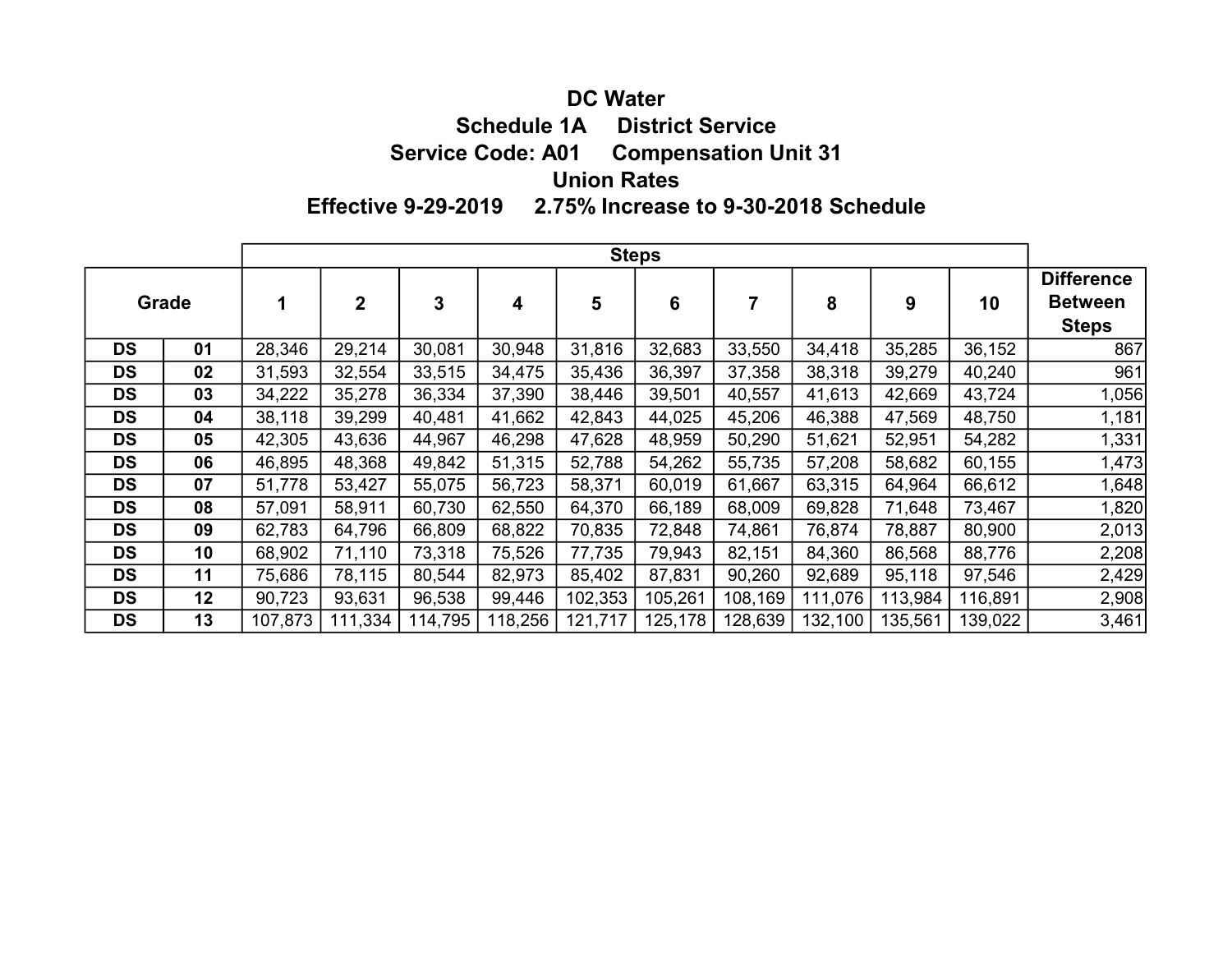### DC Water

Schedule 1A District Service

Service Code: A01 Compensation Unit 31

# Union Rates

Effective 9-29-2019 2.75% Increase to 9-30-2018 Schedule

|           |    | <b>Steps</b> |             |         |         |         |         |         |         |         |         |                                                     |
|-----------|----|--------------|-------------|---------|---------|---------|---------|---------|---------|---------|---------|-----------------------------------------------------|
| Grade     |    |              | $\mathbf 2$ | 3       | 4       | 5       | 6       |         | 8       | 9       | 10      | <b>Difference</b><br><b>Between</b><br><b>Steps</b> |
| <b>DS</b> | 01 | 28,346       | 29,214      | 30,081  | 30,948  | 31,816  | 32,683  | 33,550  | 34,418  | 35,285  | 36,152  | 867                                                 |
| <b>DS</b> | 02 | 31,593       | 32,554      | 33,515  | 34,475  | 35,436  | 36,397  | 37,358  | 38,318  | 39,279  | 40,240  | 961                                                 |
| <b>DS</b> | 03 | 34,222       | 35,278      | 36,334  | 37,390  | 38,446  | 39,501  | 40,557  | 41,613  | 42,669  | 43,724  | 1,056                                               |
| <b>DS</b> | 04 | 38,118       | 39,299      | 40,481  | 41,662  | 42,843  | 44,025  | 45,206  | 46,388  | 47,569  | 48,750  | 1,181                                               |
| <b>DS</b> | 05 | 42,305       | 43,636      | 44,967  | 46,298  | 47,628  | 48,959  | 50,290  | 51,621  | 52,951  | 54,282  | 1,331                                               |
| <b>DS</b> | 06 | 46,895       | 48,368      | 49,842  | 51,315  | 52,788  | 54,262  | 55,735  | 57,208  | 58,682  | 60,155  | 1,473                                               |
| <b>DS</b> | 07 | 51,778       | 53,427      | 55,075  | 56,723  | 58,371  | 60,019  | 61,667  | 63,315  | 64,964  | 66,612  | 1,648                                               |
| <b>DS</b> | 08 | 57,091       | 58,911      | 60,730  | 62,550  | 64,370  | 66,189  | 68,009  | 69,828  | 71,648  | 73,467  | 1,820                                               |
| <b>DS</b> | 09 | 62,783       | 64,796      | 66,809  | 68,822  | 70,835  | 72,848  | 74,861  | 76,874  | 78,887  | 80,900  | 2,013                                               |
| <b>DS</b> | 10 | 68,902       | 71,110      | 73,318  | 75,526  | 77,735  | 79,943  | 82,151  | 84,360  | 86,568  | 88,776  | 2,208                                               |
| <b>DS</b> | 11 | 75,686       | 78,115      | 80,544  | 82,973  | 85,402  | 87,831  | 90,260  | 92,689  | 95,118  | 97,546  | 2,429                                               |
| <b>DS</b> | 12 | 90,723       | 93,631      | 96,538  | 99,446  | 102,353 | 105,261 | 108,169 | 111,076 | 113,984 | 116,891 | 2,908                                               |
| <b>DS</b> | 13 | 107,873      | 111,334     | 114,795 | 118,256 | 121,717 | 125,178 | 128,639 | 132,100 | 135,561 | 139,022 | 3,461                                               |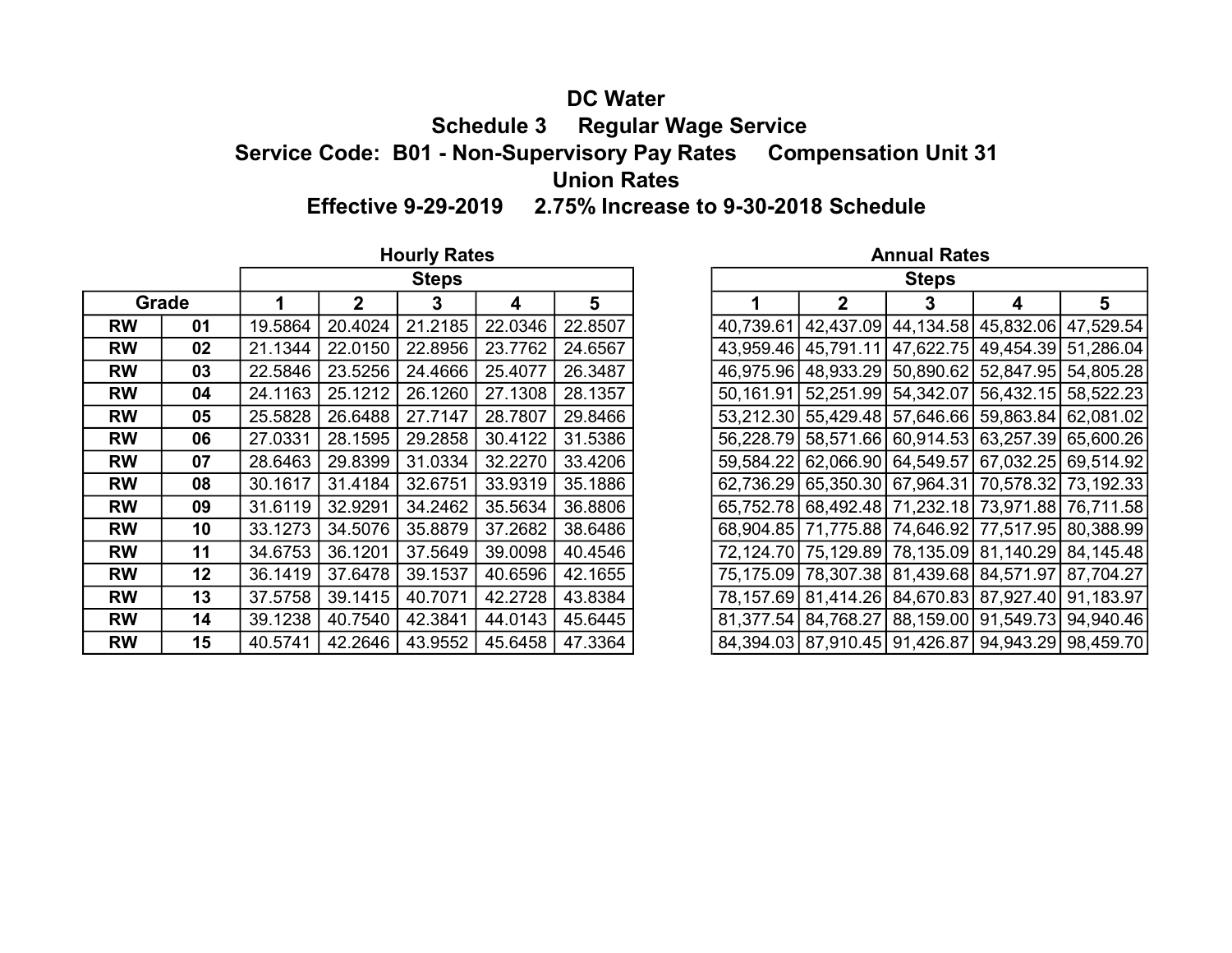### DC Water Schedule 3 Regular Wage Service Service Code: B01 - Non-Supervisory Pay Rates Compensation Unit 31 Union Rates Effective 9-29-2019 2.75% Increase to 9-30-2018 Schedule

#### Hourly Rates **Annual Rates Annual Rates Annual Rates**

**RW 01 1**9.5864 20.4024 21.2185 22.0346 22.8507 RW 02 21.1344 22.0150 22.8956 23.7762 24.6567 RW 03 22.5846 23.5256 24.4666 25.4077 26.3487 RW 04 24.1163 25.1212 26.1260 27.1308 28.1357 RW 05 25.5828 26.6488 27.7147 28.7807 29.8466 RW 06 27.0331 28.1595 29.2858 30.4122 31.5386 **RW**  $\begin{array}{|l|l|l|l|} \hline \textbf{07} & 28.6463 & 29.8399 & 31.0334 & 32.2270 & 33.4206 \hline \end{array}$ **RW** 08 30.1617 31.4184 32.6751 33.9319 35.1886 RW 09 31.6119 32.9291 34.2462 35.5634 36.8806 **RW** | 10  $|33.1273 | 34.5076 | 35.8879 | 37.2682 | 38.6486$ RW 11 34.6753 36.1201 37.5649 39.0098 40.4546 RW | 12 36.1419 37.6478 39.1537 40.6596 42.1655 RW | 13 | 37.5758 | 39.1415 | 40.7071 | 42.2728 | 43.8384 RW | 14 | 39.1238 | 40.7540 | 42.3841 | 44.0143 | 45.6445 **RW** | 15  $|40.5741 | 42.2646 | 43.9552 | 45.6458 | 47.3364$ **Grade** 

|      |                | <b>Steps</b> |         |         |  |              | <b>Steps</b> |                                                   |   |
|------|----------------|--------------|---------|---------|--|--------------|--------------|---------------------------------------------------|---|
| 1    | 2 <sup>1</sup> | 3            | 4       | 5       |  | $\mathbf{2}$ | 3            | 4                                                 | 5 |
| 5864 | 20.4024        | 21.2185      | 22.0346 | 22.8507 |  |              |              | 40,739.61 42,437.09 44,134.58 45,832.06 47,529.54 |   |
| 1344 | 22.0150        | 22.8956      | 23.7762 | 24.6567 |  |              |              | 43,959.46 45,791.11 47,622.75 49,454.39 51,286.04 |   |
| 5846 | 23.5256        | 24.4666      | 25.4077 | 26.3487 |  |              |              | 46,975.96 48,933.29 50,890.62 52,847.95 54,805.28 |   |
| 1163 | 25.1212        | 26.1260      | 27.1308 | 28.1357 |  |              |              | 50,161.91 52,251.99 54,342.07 56,432.15 58,522.23 |   |
| 5828 | 26.6488        | 27.7147      | 28.7807 | 29.8466 |  |              |              | 53,212.30 55,429.48 57,646.66 59,863.84 62,081.02 |   |
| 0331 | 28.1595        | 29.2858      | 30.4122 | 31.5386 |  |              |              | 56,228.79 58,571.66 60,914.53 63,257.39 65,600.26 |   |
| 6463 | 29.8399        | 31.0334      | 32.2270 | 33.4206 |  |              |              | 59,584.22 62,066.90 64,549.57 67,032.25 69,514.92 |   |
| 1617 | 31.4184        | 32.6751      | 33.9319 | 35.1886 |  |              |              | 62,736.29 65,350.30 67,964.31 70,578.32 73,192.33 |   |
| 6119 | 32.9291        | 34.2462      | 35.5634 | 36.8806 |  |              |              | 65,752.78 68,492.48 71,232.18 73,971.88 76,711.58 |   |
| 1273 | 34.5076        | 35.8879      | 37.2682 | 38.6486 |  |              |              | 68,904.85 71,775.88 74,646.92 77,517.95 80,388.99 |   |
| 6753 | 36.1201        | 37.5649      | 39.0098 | 40.4546 |  |              |              | 72,124.70 75,129.89 78,135.09 81,140.29 84,145.48 |   |
| 1419 | 37.6478        | 39.1537      | 40.6596 | 42.1655 |  |              |              | 75,175.09 78,307.38 81,439.68 84,571.97 87,704.27 |   |
| 5758 | 39.1415        | 40.7071      | 42.2728 | 43.8384 |  |              |              | 78,157.69 81,414.26 84,670.83 87,927.40 91,183.97 |   |
| 1238 | 40.7540        | 42.3841      | 44.0143 | 45.6445 |  |              |              | 81,377.54 84,768.27 88,159.00 91,549.73 94,940.46 |   |
| 5741 | 42.2646        | 43.9552      | 45.6458 | 47.3364 |  |              |              | 84,394.03 87,910.45 91,426.87 94,943.29 98,459.70 |   |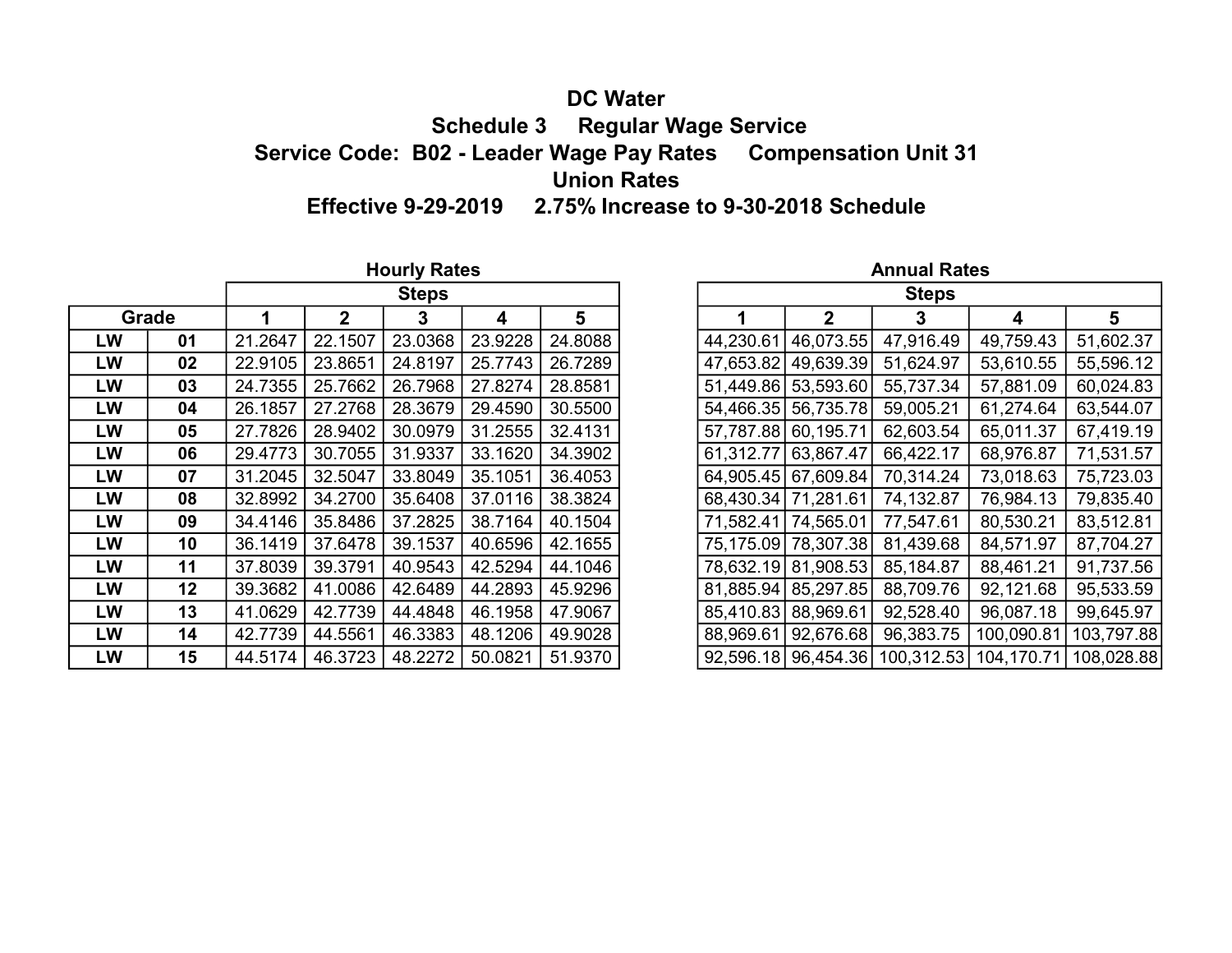# DC Water

 Schedule 3 Regular Wage Service Service Code: B02 - Leader Wage Pay Rates Compensation Unit 31 Union Rates

Effective 9-29-2019 2.75% Increase to 9-30-2018 Schedule

|           |       |         |              | <b>Hourly Rates</b> |         |         |              |                       | <b>Annual Rates</b> |                                                      |            |  |  |
|-----------|-------|---------|--------------|---------------------|---------|---------|--------------|-----------------------|---------------------|------------------------------------------------------|------------|--|--|
|           |       |         |              | <b>Steps</b>        |         |         | <b>Steps</b> |                       |                     |                                                      |            |  |  |
|           | Grade |         | $\mathbf{2}$ | 3                   | 4       | 5       |              | $\mathbf{2}$          | 3                   | 4                                                    | 5          |  |  |
| LW        | 01    | 21.2647 | 22.1507      | 23.0368             | 23.9228 | 24.8088 | 44,230.61    | 46,073.55             | 47,916.49           | 49,759.43                                            | 51,602.37  |  |  |
| LW        | 02    | 22.9105 | 23.8651      | 24.8197             | 25.7743 | 26.7289 |              | 47,653.82 49,639.39   | 51,624.97           | 53,610.55                                            | 55,596.12  |  |  |
| <b>LW</b> | 03    | 24.7355 | 25.7662      | 26.7968             | 27.8274 | 28.8581 |              | 51,449.86 53,593.60   | 55,737.34           | 57,881.09                                            | 60,024.83  |  |  |
| LW        | 04    | 26.1857 | 27.2768      | 28.3679             | 29.4590 | 30.5500 |              | 54,466.35   56,735.78 | 59,005.21           | 61,274.64                                            | 63,544.07  |  |  |
| LW        | 05    | 27.7826 | 28.9402      | 30.0979             | 31.2555 | 32.4131 |              | 57,787.88 60,195.71   | 62,603.54           | 65,011.37                                            | 67,419.19  |  |  |
| LW        | 06    | 29.4773 | 30.7055      | 31.9337             | 33.1620 | 34.3902 | 61,312.77    | 63,867.47             | 66,422.17           | 68,976.87                                            | 71,531.57  |  |  |
| <b>LW</b> | 07    | 31.2045 | 32.5047      | 33.8049             | 35.1051 | 36.4053 |              | 64.905.45 67,609.84   | 70,314.24           | 73,018.63                                            | 75,723.03  |  |  |
| LW        | 08    | 32.8992 | 34.2700      | 35.6408             | 37.0116 | 38.3824 |              | 68,430.34 71,281.61   | 74,132.87           | 76,984.13                                            | 79,835.40  |  |  |
| <b>LW</b> | 09    | 34.4146 | 35.8486      | 37.2825             | 38.7164 | 40.1504 |              | 71,582.41 74,565.01   | 77,547.61           | 80,530.21                                            | 83,512.81  |  |  |
| LW        | 10    | 36.1419 | 37.6478      | 39.1537             | 40.6596 | 42.1655 |              | 75,175.09 78,307.38   | 81,439.68           | 84,571.97                                            | 87,704.27  |  |  |
| LW        | 11    | 37.8039 | 39.3791      | 40.9543             | 42.5294 | 44.1046 |              | 78,632.19 81,908.53   | 85,184.87           | 88,461.21                                            | 91,737.56  |  |  |
| LW        | 12    | 39.3682 | 41.0086      | 42.6489             | 44.2893 | 45.9296 |              | 81,885.94   85,297.85 | 88,709.76           | 92,121.68                                            | 95,533.59  |  |  |
| LW        | 13    | 41.0629 | 42.7739      | 44.4848             | 46.1958 | 47.9067 |              | 85,410.83 88,969.61   | 92,528.40           | 96,087.18                                            | 99,645.97  |  |  |
| LW        | 14    | 42.7739 | 44.5561      | 46.3383             | 48.1206 | 49.9028 | 88,969.61    | 92,676.68             | 96,383.75           | 100,090.81                                           | 103,797.88 |  |  |
| LW        | 15    | 44.5174 | 46.3723      | 48.2272             | 50.0821 | 51.9370 |              |                       |                     | 92,596.18 96,454.36 100,312.53 104,170.71 108,028.88 |            |  |  |

|    |       |         |         | <b>Steps</b> |         |         |                     |                       | <b>Steps</b>                                         |            |  |
|----|-------|---------|---------|--------------|---------|---------|---------------------|-----------------------|------------------------------------------------------|------------|--|
|    | Grade |         |         | 3            | 4       | 5       |                     | 2                     |                                                      | 4          |  |
| LW | 01    | 21.2647 | 22.1507 | 23.0368      | 23.9228 | 24.8088 | 44,230.61           | 46,073.55             | 47,916.49                                            | 49,759.43  |  |
| LW | 02    | 22.9105 | 23.8651 | 24.8197      | 25.7743 | 26.7289 |                     | 47,653.82 49,639.39   | 51,624.97                                            | 53,610.55  |  |
| LW | 03    | 24.7355 | 25.7662 | 26.7968      | 27.8274 | 28.8581 |                     | 51,449.86 53,593.60   | 55,737.34                                            | 57,881.09  |  |
| LW | 04    | 26.1857 | 27.2768 | 28.3679      | 29.4590 | 30.5500 |                     | 54,466.35 56,735.78   | 59,005.21                                            | 61,274.64  |  |
| LW | 05    | 27.7826 | 28.9402 | 30.0979      | 31.2555 | 32.4131 | 57,787.88 60,195.71 |                       | 62,603.54                                            | 65,011.37  |  |
| LW | 06    | 29.4773 | 30.7055 | 31.9337      | 33.1620 | 34.3902 |                     | 61,312.77 63,867.47   | 66,422.17                                            | 68,976.87  |  |
| LW | 07    | 31.2045 | 32.5047 | 33.8049      | 35.1051 | 36.4053 |                     | 64,905.45 67,609.84   | 70,314.24                                            | 73,018.63  |  |
| LW | 08    | 32.8992 | 34.2700 | 35.6408      | 37.0116 | 38.3824 |                     | 68,430.34 71,281.61   | 74,132.87                                            | 76,984.13  |  |
| LW | 09    | 34.4146 | 35.8486 | 37.2825      | 38.7164 | 40.1504 |                     | 71,582.41 74,565.01   | 77,547.61                                            | 80,530.21  |  |
| LW | 10    | 36.1419 | 37.6478 | 39.1537      | 40.6596 | 42.1655 |                     | 75,175.09 78,307.38   | 81,439.68                                            | 84,571.97  |  |
| LW | 11    | 37.8039 | 39.3791 | 40.9543      | 42.5294 | 44.1046 |                     | 78,632.19 81,908.53   | 85,184.87                                            | 88,461.21  |  |
| LW | 12    | 39.3682 | 41.0086 | 42.6489      | 44.2893 | 45.9296 |                     | 81,885.94   85,297.85 | 88,709.76                                            | 92,121.68  |  |
| LW | 13    | 41.0629 | 42.7739 | 44.4848      | 46.1958 | 47.9067 |                     | 85,410.83 88,969.61   | 92,528.40                                            | 96,087.18  |  |
| LW | 14    | 42.7739 | 44.5561 | 46.3383      | 48.1206 | 49.9028 |                     | 88,969.61 92,676.68   | 96,383.75                                            | 100,090.81 |  |
| LW | 15    | 44.5174 | 46.3723 | 48.2272      | 50.0821 | 51.9370 |                     |                       | 92,596.18 96,454.36 100,312.53 104,170.71 108,028.88 |            |  |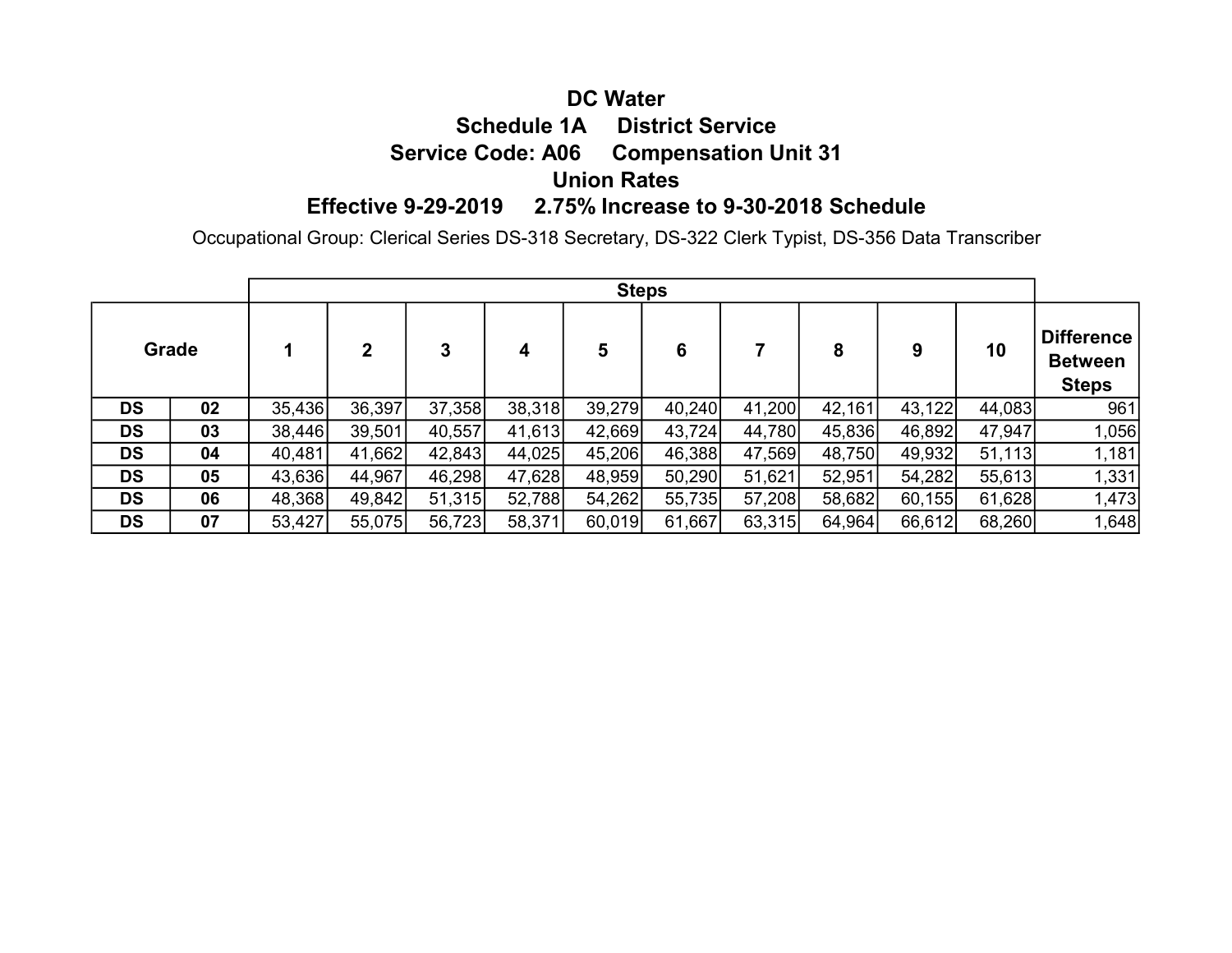# DC Water Schedule 1A District Service Service Code: A06 Compensation Unit 31 Union Rates Effective 9-29-2019 2.75% Increase to 9-30-2018 Schedule

Occupational Group: Clerical Series DS-318 Secretary, DS-322 Clerk Typist, DS-356 Data Transcriber

|           |    |        | <b>Steps</b> |        |        |        |        |        |        |        |        |                                              |  |  |  |  |
|-----------|----|--------|--------------|--------|--------|--------|--------|--------|--------|--------|--------|----------------------------------------------|--|--|--|--|
| Grade     |    |        | $\mathbf 2$  | 3      | 4      | 5      | 6      |        | 8      | 9      | 10     | Difference<br><b>Between</b><br><b>Steps</b> |  |  |  |  |
| <b>DS</b> | 02 | 35,436 | 36,397       | 37,358 | 38,318 | 39,279 | 40,240 | 41,200 | 42,161 | 43,122 | 44,083 | 961                                          |  |  |  |  |
| <b>DS</b> | 03 | 38,446 | 39,501       | 40,557 | 41,613 | 42,669 | 43,724 | 44,780 | 45,836 | 46,892 | 47,947 | 1,056                                        |  |  |  |  |
| <b>DS</b> | 04 | 40,481 | 41,662       | 42,843 | 44,025 | 45,206 | 46,388 | 47,569 | 48,750 | 49,932 | 51,113 | 1,181                                        |  |  |  |  |
| <b>DS</b> | 05 | 43,636 | 44,967       | 46,298 | 47,628 | 48,959 | 50,290 | 51,621 | 52,951 | 54,282 | 55,613 | 1,331                                        |  |  |  |  |
| <b>DS</b> | 06 | 48,368 | 49,842       | 51,315 | 52,788 | 54,262 | 55,735 | 57,208 | 58,682 | 60,155 | 61,628 | 1,473                                        |  |  |  |  |
| <b>DS</b> | 07 | 53,427 | 55,075       | 56,723 | 58,371 | 60,019 | 61,667 | 63,315 | 64,964 | 66,612 | 68,260 | 1,648                                        |  |  |  |  |